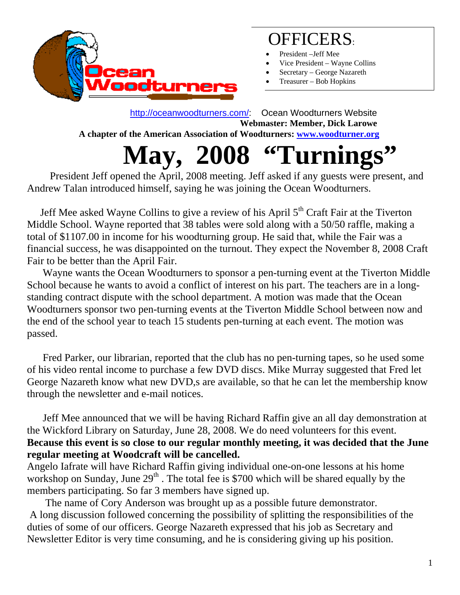

### OFFICERS:

- President –Jeff Mee
- Vice President Wayne Collins
- Secretary George Nazareth
- Treasurer Bob Hopkins

 http://oceanwoodturners.com/: Ocean Woodturners Website **Webmaster: Member, Dick Larowe A chapter of the American Association of Woodturners: www.woodturner.org** 

# **May, 2008 "Turnings"** President Jeff opened the April, 2008 meeting. Jeff asked if any guests were present, and

Andrew Talan introduced himself, saying he was joining the Ocean Woodturners.

Jeff Mee asked Wayne Collins to give a review of his April  $5<sup>th</sup>$  Craft Fair at the Tiverton Middle School. Wayne reported that 38 tables were sold along with a 50/50 raffle, making a total of \$1107.00 in income for his woodturning group. He said that, while the Fair was a financial success, he was disappointed on the turnout. They expect the November 8, 2008 Craft Fair to be better than the April Fair.

 Wayne wants the Ocean Woodturners to sponsor a pen-turning event at the Tiverton Middle School because he wants to avoid a conflict of interest on his part. The teachers are in a longstanding contract dispute with the school department. A motion was made that the Ocean Woodturners sponsor two pen-turning events at the Tiverton Middle School between now and the end of the school year to teach 15 students pen-turning at each event. The motion was passed.

 Fred Parker, our librarian, reported that the club has no pen-turning tapes, so he used some of his video rental income to purchase a few DVD discs. Mike Murray suggested that Fred let George Nazareth know what new DVD,s are available, so that he can let the membership know through the newsletter and e-mail notices.

 Jeff Mee announced that we will be having Richard Raffin give an all day demonstration at the Wickford Library on Saturday, June 28, 2008. We do need volunteers for this event. **Because this event is so close to our regular monthly meeting, it was decided that the June regular meeting at Woodcraft will be cancelled.**

Angelo Iafrate will have Richard Raffin giving individual one-on-one lessons at his home workshop on Sunday, June 29<sup>th</sup>. The total fee is \$700 which will be shared equally by the members participating. So far 3 members have signed up.

 The name of Cory Anderson was brought up as a possible future demonstrator. A long discussion followed concerning the possibility of splitting the responsibilities of the duties of some of our officers. George Nazareth expressed that his job as Secretary and Newsletter Editor is very time consuming, and he is considering giving up his position.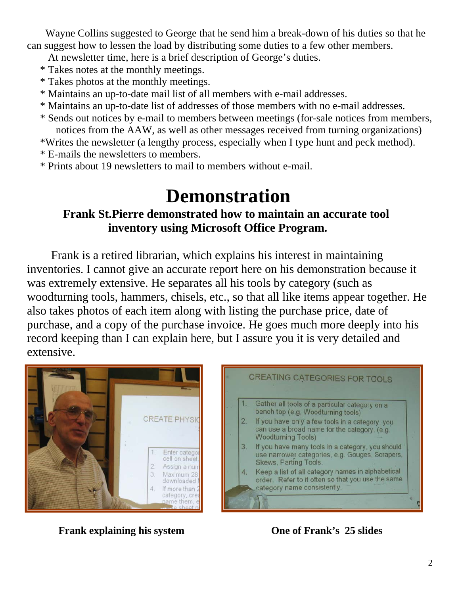Wayne Collins suggested to George that he send him a break-down of his duties so that he can suggest how to lessen the load by distributing some duties to a few other members.

At newsletter time, here is a brief description of George's duties.

- \* Takes notes at the monthly meetings.
- \* Takes photos at the monthly meetings.
- \* Maintains an up-to-date mail list of all members with e-mail addresses.
- \* Maintains an up-to-date list of addresses of those members with no e-mail addresses.
- \* Sends out notices by e-mail to members between meetings (for-sale notices from members, notices from the AAW, as well as other messages received from turning organizations)

\*Writes the newsletter (a lengthy process, especially when I type hunt and peck method).

- \* E-mails the newsletters to members.
- \* Prints about 19 newsletters to mail to members without e-mail.

# **Demonstration**<br>Frank St.Pierre demonstrated how to maintain an accurate tool  **inventory using Microsoft Office Program.**

Frank is a retired librarian, which explains his interest in maintaining inventories. I cannot give an accurate report here on his demonstration because it was extremely extensive. He separates all his tools by category (such as woodturning tools, hammers, chisels, etc., so that all like items appear together. He also takes photos of each item along with listing the purchase price, date of purchase, and a copy of the purchase invoice. He goes much more deeply into his record keeping than I can explain here, but I assure you it is very detailed and extensive.





**Frank explaining his system One of Frank's 25 slides**